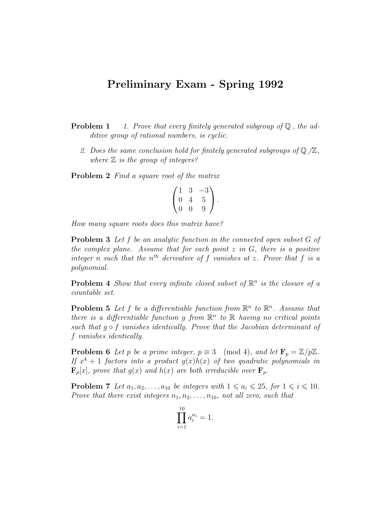## Preliminary Exam - Spring 1992

**Problem 1** 1. Prove that every finitely generated subgroup of  $\mathbb{Q}$ , the additive group of rational numbers, is cyclic.

2. Does the same conclusion hold for finitely generated subgroups of  $\mathbb{Q}/\mathbb{Z}$ , where  $\mathbb Z$  is the group of integers?

Problem 2 Find a square root of the matrix

$$
\begin{pmatrix} 1 & 3 & -3 \ 0 & 4 & 5 \ 0 & 0 & 9 \end{pmatrix}.
$$

How many square roots does this matrix have?

**Problem 3** Let f be an analytic function in the connected open subset G of the complex plane. Assume that for each point  $z$  in  $G$ , there is a positive integer n such that the  $n^{th}$  derivative of f vanishes at z. Prove that f is a polynomial.

**Problem 4** Show that every infinite closed subset of  $\mathbb{R}^n$  is the closure of a countable set.

**Problem 5** Let f be a differentiable function from  $\mathbb{R}^n$  to  $\mathbb{R}^n$ . Assume that there is a differentiable function g from  $\mathbb{R}^n$  to  $\mathbb R$  having no critical points such that  $g \circ f$  vanishes identically. Prove that the Jacobian determinant of f vanishes identically.

**Problem 6** Let p be a prime integer,  $p \equiv 3 \pmod{4}$ , and let  $\mathbf{F}_p = \mathbb{Z}/p\mathbb{Z}$ . If  $x^4 + 1$  factors into a product  $g(x)h(x)$  of two quadratic polynomials in  $\mathbf{F}_p[x]$ , prove that  $g(x)$  and  $h(x)$  are both irreducible over  $\mathbf{F}_p$ .

**Problem 7** Let  $a_1, a_2, \ldots, a_{10}$  be integers with  $1 \leq a_i \leq 25$ , for  $1 \leq i \leq 10$ . Prove that there exist integers  $n_1, n_2, \ldots, n_{10}$ , not all zero, such that

$$
\prod_{i=1}^{10} a_i^{n_i} = 1.
$$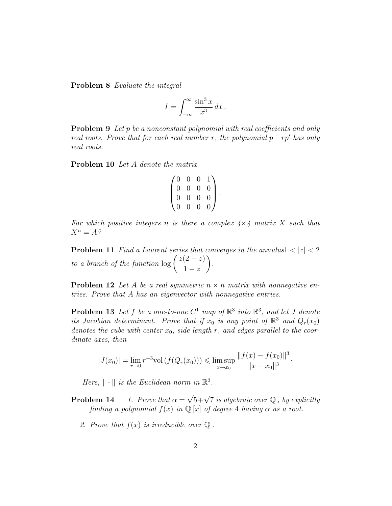Problem 8 Evaluate the integral

$$
I = \int_{-\infty}^{\infty} \frac{\sin^3 x}{x^3} dx.
$$

**Problem 9** Let p be a nonconstant polynomial with real coefficients and only real roots. Prove that for each real number r, the polynomial  $p - rp'$  has only real roots.

Problem 10 Let A denote the matrix

$$
\begin{pmatrix} 0 & 0 & 0 & 1 \\ 0 & 0 & 0 & 0 \\ 0 & 0 & 0 & 0 \\ 0 & 0 & 0 & 0 \end{pmatrix}.
$$

For which positive integers n is there a complex  $4\times4$  matrix X such that  $X^n = A$ ?

**Problem 11** Find a Laurent series that converges in the annulus $1 < |z| < 2$ to a branch of the function  $\log \left( \frac{z(2-z)}{1} \right)$  $1-z$  $\setminus$ .

**Problem 12** Let A be a real symmetric  $n \times n$  matrix with nonnegative entries. Prove that A has an eigenvector with nonnegative entries.

**Problem 13** Let f be a one-to-one  $C^1$  map of  $\mathbb{R}^3$  into  $\mathbb{R}^3$ , and let J denote its Jacobian determinant. Prove that if  $x_0$  is any point of  $\mathbb{R}^3$  and  $Q_r(x_0)$ denotes the cube with center  $x_0$ , side length r, and edges parallel to the coordinate axes, then

$$
|J(x_0)| = \lim_{r \to 0} r^{-3} \text{vol}(f(Q_r(x_0))) \leq \limsup_{x \to x_0} \frac{\|f(x) - f(x_0)\|^3}{\|x - x_0\|^3}.
$$

Here,  $\|\cdot\|$  is the Euclidean norm in  $\mathbb{R}^3$ .

- **Problem 14** 1. Prove that  $\alpha =$  $\sqrt{5}+\sqrt{7}$  is algebraic over Q, by explicitly finding a polynomial  $f(x)$  in  $\mathbb{Q}[x]$  of degree 4 having  $\alpha$  as a root.
	- 2. Prove that  $f(x)$  is irreducible over  $\mathbb Q$ .